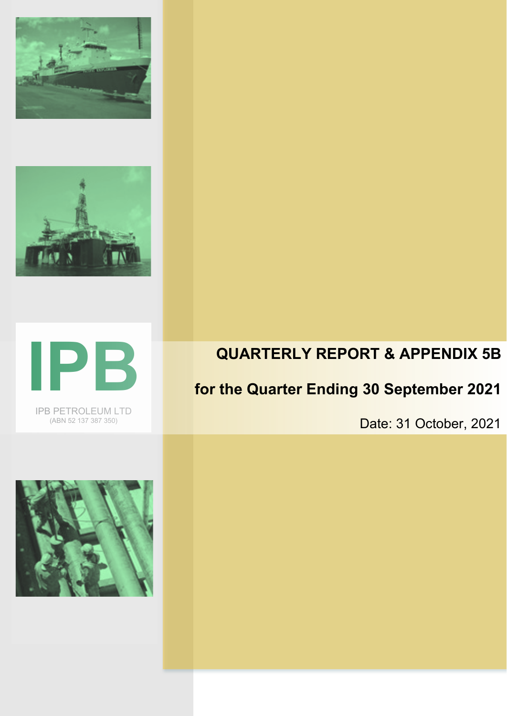





IPB PETROLEUM LTD (ABN 52 137 387 350)

## **QUARTERLY REPORT & APPENDIX 5B**

# **for the Quarter Ending 30 September 2021**

Date: 31 October, 2021

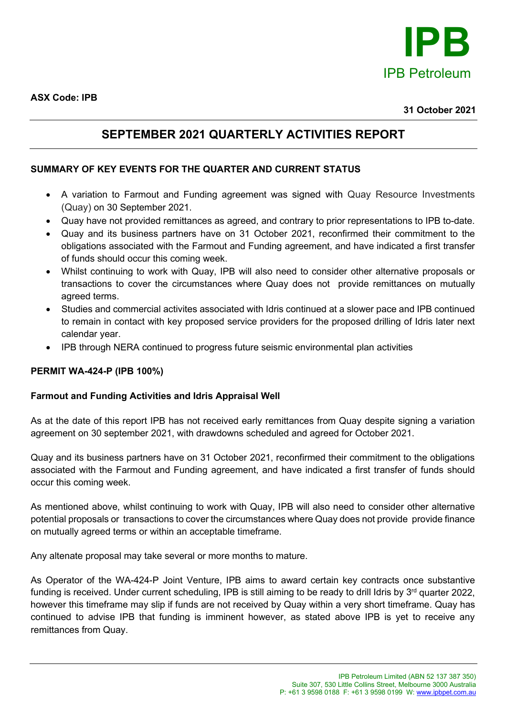

**ASX Code: IPB**

### **SEPTEMBER 2021 QUARTERLY ACTIVITIES REPORT**

#### **SUMMARY OF KEY EVENTS FOR THE QUARTER AND CURRENT STATUS**

- A variation to Farmout and Funding agreement was signed with Quay Resource Investments (Quay) on 30 September 2021.
- Quay have not provided remittances as agreed, and contrary to prior representations to IPB to-date.
- Quay and its business partners have on 31 October 2021, reconfirmed their commitment to the obligations associated with the Farmout and Funding agreement, and have indicated a first transfer of funds should occur this coming week.
- Whilst continuing to work with Quay, IPB will also need to consider other alternative proposals or transactions to cover the circumstances where Quay does not provide remittances on mutually agreed terms.
- Studies and commercial activites associated with Idris continued at a slower pace and IPB continued to remain in contact with key proposed service providers for the proposed drilling of Idris later next calendar year.
- IPB through NERA continued to progress future seismic environmental plan activities

#### **PERMIT WA-424-P (IPB 100%)**

#### **Farmout and Funding Activities and Idris Appraisal Well**

As at the date of this report IPB has not received early remittances from Quay despite signing a variation agreement on 30 september 2021, with drawdowns scheduled and agreed for October 2021.

Quay and its business partners have on 31 October 2021, reconfirmed their commitment to the obligations associated with the Farmout and Funding agreement, and have indicated a first transfer of funds should occur this coming week.

As mentioned above, whilst continuing to work with Quay, IPB will also need to consider other alternative potential proposals or transactions to cover the circumstances where Quay does not provide provide finance on mutually agreed terms or within an acceptable timeframe.

Any altenate proposal may take several or more months to mature.

As Operator of the WA-424-P Joint Venture, IPB aims to award certain key contracts once substantive funding is received. Under current scheduling, IPB is still aiming to be ready to drill Idris by 3<sup>rd</sup> quarter 2022, however this timeframe may slip if funds are not received by Quay within a very short timeframe. Quay has continued to advise IPB that funding is imminent however, as stated above IPB is yet to receive any remittances from Quay.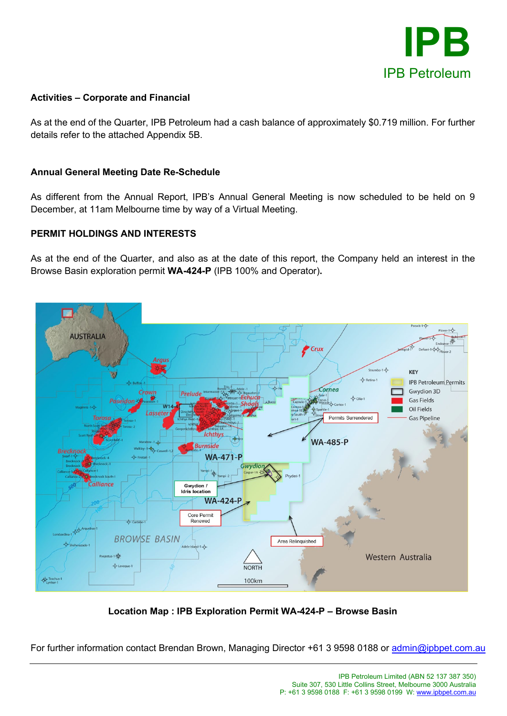

#### **Activities – Corporate and Financial**

As at the end of the Quarter, IPB Petroleum had a cash balance of approximately \$0.719 million. For further details refer to the attached Appendix 5B.

#### **Annual General Meeting Date Re-Schedule**

As different from the Annual Report, IPB's Annual General Meeting is now scheduled to be held on 9 December, at 11am Melbourne time by way of a Virtual Meeting.

#### **PERMIT HOLDINGS AND INTERESTS**

As at the end of the Quarter, and also as at the date of this report, the Company held an interest in the Browse Basin exploration permit **WA-424-P** (IPB 100% and Operator)**.**



**Location Map : IPB Exploration Permit WA-424-P – Browse Basin**

For further information contact Brendan Brown, Managing Director +61 3 9598 0188 or [admin@ipbpet.com.au](mailto:admin@ipbpet.com.au)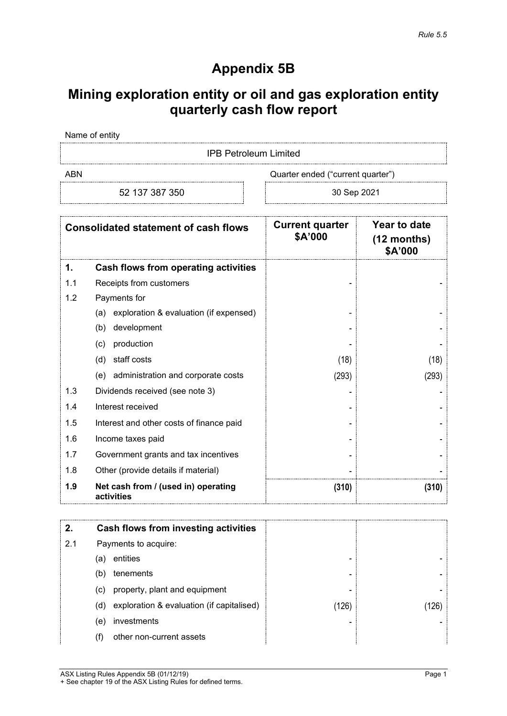### **Appendix 5B**

## **Mining exploration entity or oil and gas exploration entity quarterly cash flow report**

Name of entity

IPB Petroleum Limited

ABN Cuarter ended ("current quarter")

52 137 387 350 30 Sep 2021

| <b>Consolidated statement of cash flows</b> |                                                   | <b>Current quarter</b><br>\$A'000 | Year to date<br>$(12$ months)<br>\$A'000 |
|---------------------------------------------|---------------------------------------------------|-----------------------------------|------------------------------------------|
| 1.                                          | <b>Cash flows from operating activities</b>       |                                   |                                          |
| 1.1                                         | Receipts from customers                           |                                   |                                          |
| 1.2                                         | Payments for                                      |                                   |                                          |
|                                             | exploration & evaluation (if expensed)<br>(a)     |                                   |                                          |
|                                             | development<br>(b)                                |                                   |                                          |
|                                             | production<br>(c)                                 |                                   |                                          |
|                                             | staff costs<br>(d)                                | (18)                              | (18)                                     |
|                                             | administration and corporate costs<br>(e)         | (293)                             | (293)                                    |
| 1.3                                         | Dividends received (see note 3)                   |                                   |                                          |
| 1.4                                         | Interest received                                 |                                   |                                          |
| 1.5                                         | Interest and other costs of finance paid          |                                   |                                          |
| 1.6                                         | Income taxes paid                                 |                                   |                                          |
| 1.7                                         | Government grants and tax incentives              |                                   |                                          |
| 1.8                                         | Other (provide details if material)               |                                   |                                          |
| 1.9                                         | Net cash from / (used in) operating<br>activities | (310)                             | (310)                                    |

|     |     | Cash flows from investing activities      |                  |  |
|-----|-----|-------------------------------------------|------------------|--|
| 2.1 |     | Payments to acquire:                      |                  |  |
|     | (a) | entities                                  | -                |  |
|     | (b) | tenements                                 | -                |  |
|     | (c) | property, plant and equipment             |                  |  |
|     | (d) | exploration & evaluation (if capitalised) | $^{\prime}$ 126) |  |
|     | (e) | investments                               |                  |  |
|     |     | other non-current assets                  |                  |  |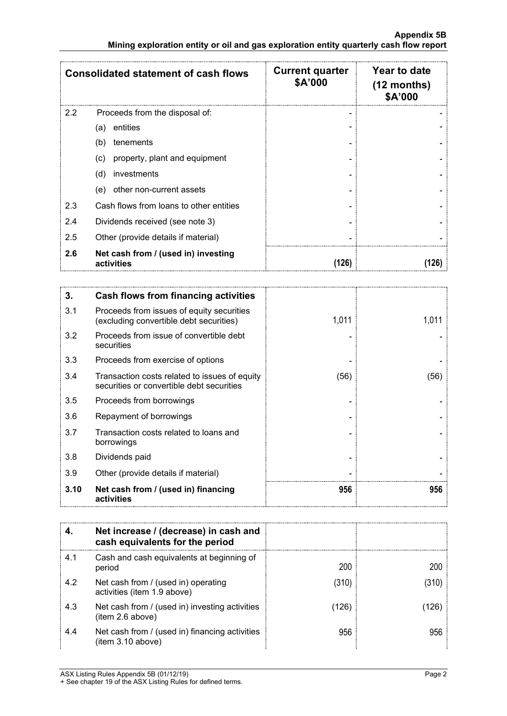|     | <b>Consolidated statement of cash flows</b>       | <b>Current quarter</b><br>\$A'000 | Year to date<br>$(12$ months)<br>\$A'000 |
|-----|---------------------------------------------------|-----------------------------------|------------------------------------------|
| 2.2 | Proceeds from the disposal of:                    |                                   |                                          |
|     | entities<br>(a)                                   |                                   |                                          |
|     | tenements<br>(b)                                  |                                   |                                          |
|     | property, plant and equipment<br>(c)              |                                   |                                          |
|     | (d)<br>investments                                |                                   |                                          |
|     | other non-current assets<br>(e)                   |                                   |                                          |
| 2.3 | Cash flows from loans to other entities           |                                   |                                          |
| 2.4 | Dividends received (see note 3)                   |                                   |                                          |
| 2.5 | Other (provide details if material)               |                                   |                                          |
| 2.6 | Net cash from / (used in) investing<br>activities | (126)                             |                                          |

| 3.   | Cash flows from financing activities                                                       |       |       |
|------|--------------------------------------------------------------------------------------------|-------|-------|
| 3.1  | Proceeds from issues of equity securities<br>(excluding convertible debt securities)       | 1,011 | 1,011 |
| 3.2  | Proceeds from issue of convertible debt<br>securities                                      |       |       |
| 3.3  | Proceeds from exercise of options                                                          |       |       |
| 3.4  | Transaction costs related to issues of equity<br>securities or convertible debt securities | (56)  | (56)  |
| 3.5  | Proceeds from borrowings                                                                   |       |       |
| 3.6  | Repayment of borrowings                                                                    |       |       |
| 3.7  | Transaction costs related to loans and<br>borrowings                                       |       |       |
| 3.8  | Dividends paid                                                                             |       |       |
| 3.9  | Other (provide details if material)                                                        |       |       |
| 3.10 | Net cash from / (used in) financing<br>activities                                          | 956   | 956   |

|     | Net increase / (decrease) in cash and<br>cash equivalents for the period |       |     |
|-----|--------------------------------------------------------------------------|-------|-----|
| 4.1 | Cash and cash equivalents at beginning of<br>period                      | 200   | 200 |
| 4.2 | Net cash from / (used in) operating<br>activities (item 1.9 above)       | (310) |     |
| 4.3 | Net cash from / (used in) investing activities<br>(item 2.6 above)       | 126   |     |
| 4.4 | Net cash from / (used in) financing activities<br>item 3.10 above)       | 956   |     |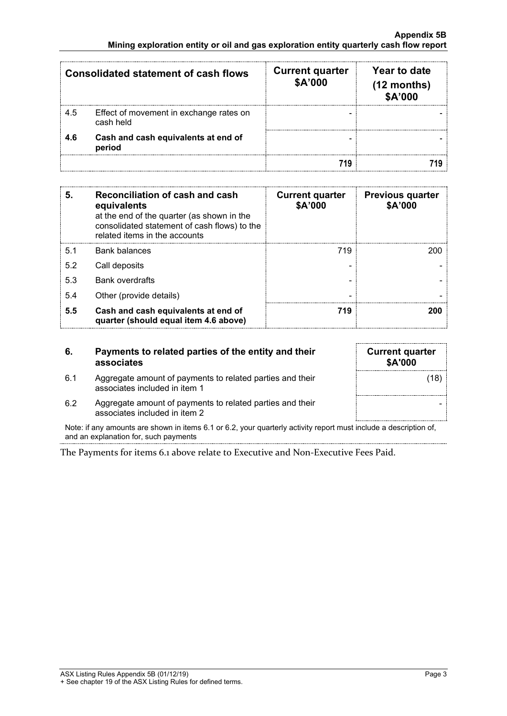| <b>Consolidated statement of cash flows</b> |                                                      | <b>Current quarter</b><br>\$A'000 | Year to date<br>$(12$ months)<br>\$A'000 |
|---------------------------------------------|------------------------------------------------------|-----------------------------------|------------------------------------------|
| 4.5                                         | Effect of movement in exchange rates on<br>cash held |                                   |                                          |
| 4.6                                         | Cash and cash equivalents at end of<br>period        |                                   |                                          |
|                                             |                                                      |                                   |                                          |

| 5.  | Reconciliation of cash and cash<br>equivalents<br>at the end of the quarter (as shown in the<br>consolidated statement of cash flows) to the<br>related items in the accounts | <b>Current quarter</b><br>\$A'000 | <b>Previous quarter</b><br>\$A'000 |
|-----|-------------------------------------------------------------------------------------------------------------------------------------------------------------------------------|-----------------------------------|------------------------------------|
| 51  | <b>Bank balances</b>                                                                                                                                                          | 719                               |                                    |
| 5.2 | Call deposits                                                                                                                                                                 |                                   |                                    |
| 5.3 | <b>Bank overdrafts</b>                                                                                                                                                        |                                   |                                    |
| 5.4 | Other (provide details)                                                                                                                                                       | -                                 |                                    |
| 5.5 | Cash and cash equivalents at end of<br>quarter (should equal item 4.6 above)                                                                                                  | 719                               |                                    |

| 6.  | Payments to related parties of the entity and their<br>associates                          | <b>Current quarter</b><br>\$A'000 |
|-----|--------------------------------------------------------------------------------------------|-----------------------------------|
| 6.1 | Aggregate amount of payments to related parties and their<br>associates included in item 1 | (18)                              |
| 6.2 | Aggregate amount of payments to related parties and their<br>associates included in item 2 |                                   |

Note: if any amounts are shown in items 6.1 or 6.2, your quarterly activity report must include a description of, and an explanation for, such payments

The Payments for items 6.1 above relate to Executive and Non-Executive Fees Paid.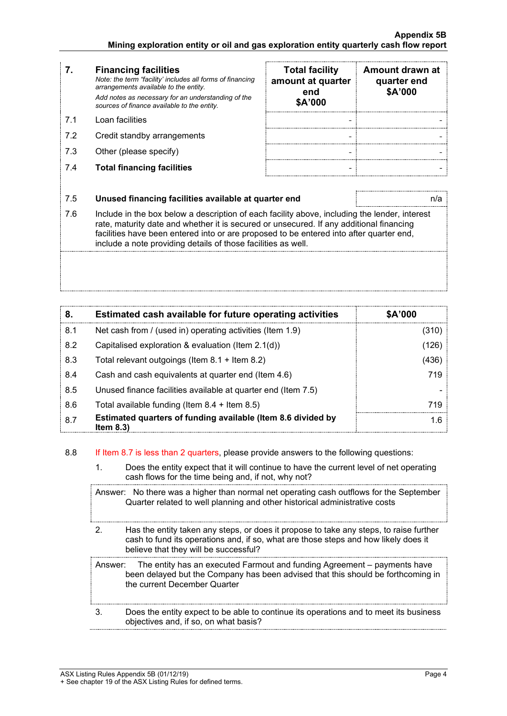- **7. Financing facilities** *Note: the term "facility' includes all forms of financing arrangements available to the entity. Add notes as necessary for an understanding of the sources of finance available to the entity.*
- 
- 7.2 Credit standby arrangements
- 7.3 Other (please specify)
- 7.4 **Total financing facilities - -**

| 7.  | <b>Financing facilities</b><br>Note: the term "facility' includes all forms of financing<br>arrangements available to the entity.<br>Add notes as necessary for an understanding of the<br>sources of finance available to the entity. | <b>Total facility</b><br>amount at quarter<br>end<br>\$A'000 | Amount drawn at<br>quarter end<br>\$A'000 |
|-----|----------------------------------------------------------------------------------------------------------------------------------------------------------------------------------------------------------------------------------------|--------------------------------------------------------------|-------------------------------------------|
| 71  | Loan facilities                                                                                                                                                                                                                        |                                                              |                                           |
| 7.2 | Credit standby arrangements                                                                                                                                                                                                            |                                                              |                                           |
| 7.3 | Other (please specify)                                                                                                                                                                                                                 |                                                              |                                           |
| 7.4 | <b>Total financing facilities</b>                                                                                                                                                                                                      |                                                              |                                           |

#### 7.5 **Unused financing facilities available at quarter end** n/a

7.6 Include in the box below a description of each facility above, including the lender, interest rate, maturity date and whether it is secured or unsecured. If any additional financing facilities have been entered into or are proposed to be entered into after quarter end, include a note providing details of those facilities as well.

| 8.  | Estimated cash available for future operating activities                     | \$A'000 |
|-----|------------------------------------------------------------------------------|---------|
| 8.1 | Net cash from / (used in) operating activities (Item 1.9)                    | (310)   |
| 8.2 | Capitalised exploration & evaluation (Item 2.1(d))                           | (126)   |
| 8.3 | Total relevant outgoings (Item $8.1 +$ Item $8.2$ )                          | (436)   |
| 8.4 | Cash and cash equivalents at quarter end (Item 4.6)                          | 719     |
| 8.5 | Unused finance facilities available at quarter end (Item 7.5)                |         |
| 8.6 | Total available funding (Item $8.4 +$ Item $8.5$ )                           | 719     |
| 8.7 | Estimated quarters of funding available (Item 8.6 divided by<br>Item $8.3$ ) | 1.6     |

#### 8.8 If Item 8.7 is less than 2 quarters, please provide answers to the following questions:

1. Does the entity expect that it will continue to have the current level of net operating cash flows for the time being and, if not, why not?

Answer: No there was a higher than normal net operating cash outflows for the September Quarter related to well planning and other historical administrative costs

2. Has the entity taken any steps, or does it propose to take any steps, to raise further cash to fund its operations and, if so, what are those steps and how likely does it believe that they will be successful?

|    | Answer: The entity has an executed Farmout and funding Agreement – payments have<br>been delayed but the Company has been advised that this should be forthcoming in<br>the current December Quarter |
|----|------------------------------------------------------------------------------------------------------------------------------------------------------------------------------------------------------|
| 3. | Does the entity expect to be able to continue its operations and to meet its business<br>objectives and, if so, on what basis?                                                                       |